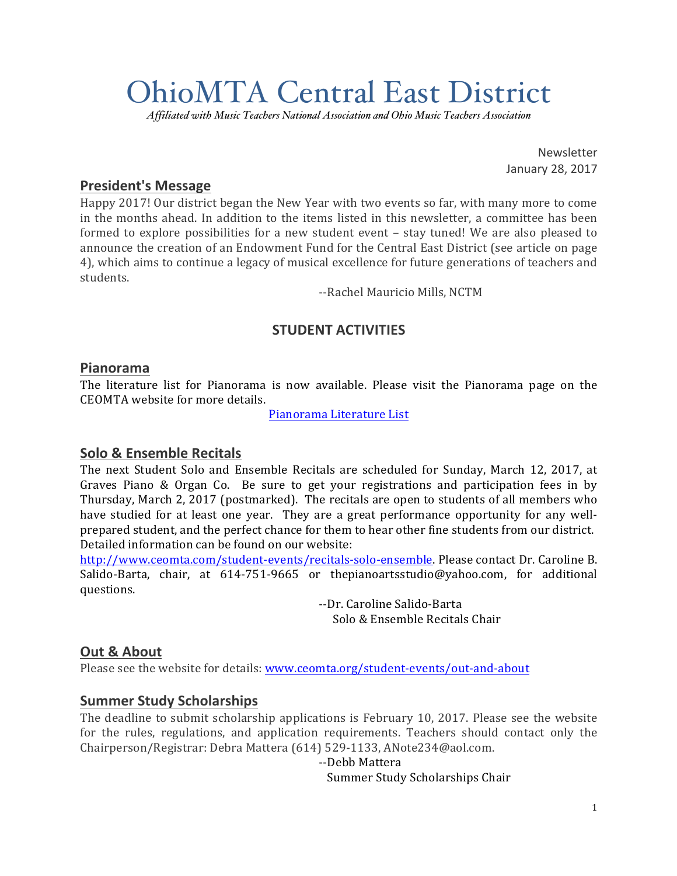# OhioMTA Central East District

*Affiliated with Music Teachers National Association and Ohio Music Teachers Association*

Newsletter January 28, 2017

#### **President's Message**

Happy 2017! Our district began the New Year with two events so far, with many more to come in the months ahead. In addition to the items listed in this newsletter, a committee has been formed to explore possibilities for a new student event – stay tuned! We are also pleased to announce the creation of an Endowment Fund for the Central East District (see article on page 4), which aims to continue a legacy of musical excellence for future generations of teachers and students.

--Rachel Mauricio Mills, NCTM

# **STUDENT ACTIVITIES**

#### **Pianorama**

The literature list for Pianorama is now available. Please visit the Pianorama page on the CEOMTA website for more details.

Pianorama Literature List

#### **Solo & Ensemble Recitals**

The next Student Solo and Ensemble Recitals are scheduled for Sunday, March 12, 2017, at Graves Piano & Organ Co. Be sure to get your registrations and participation fees in by Thursday, March 2, 2017 (postmarked). The recitals are open to students of all members who have studied for at least one year. They are a great performance opportunity for any wellprepared student, and the perfect chance for them to hear other fine students from our district. Detailed information can be found on our website:

http://www.ceomta.com/student-events/recitals-solo-ensemble. Please contact Dr. Caroline B. Salido-Barta, chair, at  $614-751-9665$  or thepianoartsstudio@yahoo.com, for additional questions.

> --Dr. Caroline Salido-Barta Solo & Ensemble Recitals Chair

### **Out & About**

Please see the website for details: www.ceomta.org/student-events/out-and-about

### **Summer Study Scholarships**

The deadline to submit scholarship applications is February 10, 2017. Please see the website for the rules, regulations, and application requirements. Teachers should contact only the Chairperson/Registrar: Debra Mattera (614) 529-1133, ANote234@aol.com.

#### --Debb Mattera

Summer Study Scholarships Chair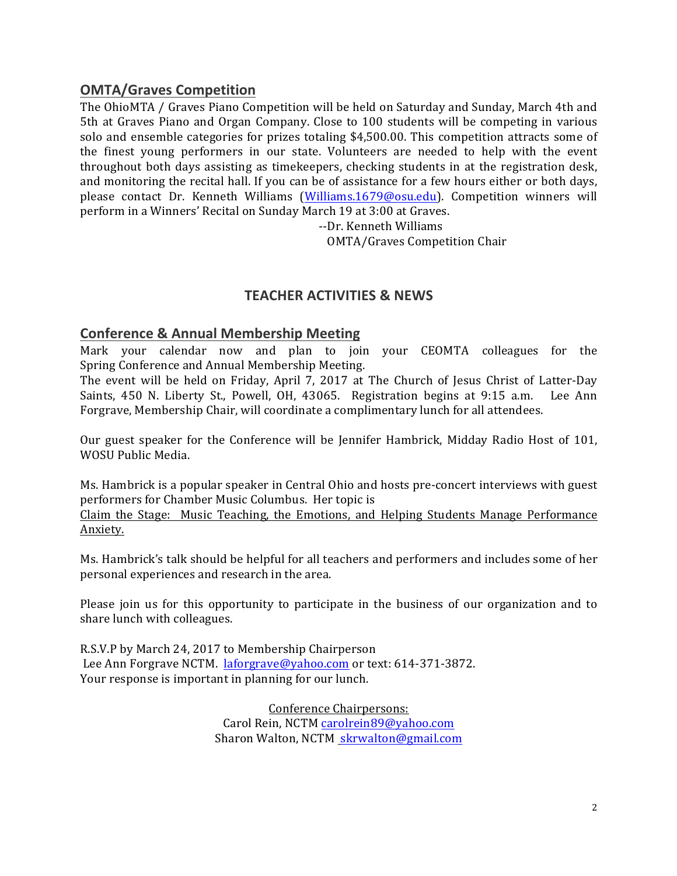### **OMTA/Graves Competition**

The OhioMTA / Graves Piano Competition will be held on Saturday and Sunday, March 4th and 5th at Graves Piano and Organ Company. Close to 100 students will be competing in various solo and ensemble categories for prizes totaling  $$4,500.00$ . This competition attracts some of the finest young performers in our state. Volunteers are needed to help with the event throughout both days assisting as timekeepers, checking students in at the registration desk, and monitoring the recital hall. If you can be of assistance for a few hours either or both days, please contact Dr. Kenneth Williams (Williams.1679@osu.edu). Competition winners will perform in a Winners' Recital on Sunday March 19 at 3:00 at Graves.

--Dr. Kenneth Williams

**OMTA/Graves Competition Chair** 

### **TEACHER ACTIVITIES & NEWS**

#### **Conference & Annual Membership Meeting**

Mark your calendar now and plan to join your CEOMTA colleagues for the Spring Conference and Annual Membership Meeting.

The event will be held on Friday, April 7, 2017 at The Church of Jesus Christ of Latter-Day Saints, 450 N. Liberty St., Powell, OH, 43065. Registration begins at 9:15 a.m. Lee Ann Forgrave, Membership Chair, will coordinate a complimentary lunch for all attendees.

Our guest speaker for the Conference will be Jennifer Hambrick, Midday Radio Host of 101, WOSU Public Media.

Ms. Hambrick is a popular speaker in Central Ohio and hosts pre-concert interviews with guest performers for Chamber Music Columbus. Her topic is

Claim the Stage: Music Teaching, the Emotions, and Helping Students Manage Performance Anxiety. 

Ms. Hambrick's talk should be helpful for all teachers and performers and includes some of her personal experiences and research in the area.

Please join us for this opportunity to participate in the business of our organization and to share lunch with colleagues.

R.S.V.P by March 24, 2017 to Membership Chairperson Lee Ann Forgrave NCTM. laforgrave@yahoo.com or text: 614-371-3872. Your response is important in planning for our lunch.

> Conference Chairpersons: Carol Rein, NCTM carolrein89@yahoo.com Sharon Walton, NCTM skrwalton@gmail.com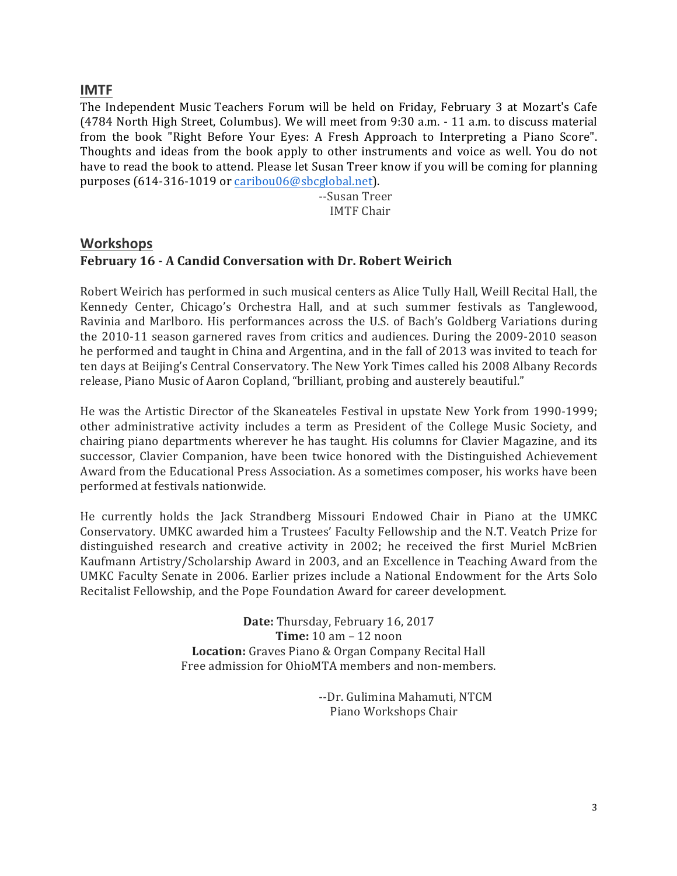#### **IMTF**

The Independent Music Teachers Forum will be held on Friday, February 3 at Mozart's Cafe (4784 North High Street, Columbus). We will meet from 9:30 a.m. - 11 a.m. to discuss material from the book "Right Before Your Eyes: A Fresh Approach to Interpreting a Piano Score". Thoughts and ideas from the book apply to other instruments and voice as well. You do not have to read the book to attend. Please let Susan Treer know if you will be coming for planning purposes (614-316-1019 or caribou06@sbcglobal.net).

> --Susan Treer IMTF Chair

# **Workshops** February 16 - A Candid Conversation with Dr. Robert Weirich

Robert Weirich has performed in such musical centers as Alice Tully Hall, Weill Recital Hall, the Kennedy Center, Chicago's Orchestra Hall, and at such summer festivals as Tanglewood, Ravinia and Marlboro. His performances across the U.S. of Bach's Goldberg Variations during the 2010-11 season garnered raves from critics and audiences. During the 2009-2010 season he performed and taught in China and Argentina, and in the fall of 2013 was invited to teach for ten days at Beijing's Central Conservatory. The New York Times called his 2008 Albany Records release, Piano Music of Aaron Copland, "brilliant, probing and austerely beautiful."

He was the Artistic Director of the Skaneateles Festival in upstate New York from 1990-1999; other administrative activity includes a term as President of the College Music Society, and chairing piano departments wherever he has taught. His columns for Clavier Magazine, and its successor, Clavier Companion, have been twice honored with the Distinguished Achievement Award from the Educational Press Association. As a sometimes composer, his works have been performed at festivals nationwide.

He currently holds the Jack Strandberg Missouri Endowed Chair in Piano at the UMKC Conservatory. UMKC awarded him a Trustees' Faculty Fellowship and the N.T. Veatch Prize for distinguished research and creative activity in 2002; he received the first Muriel McBrien Kaufmann Artistry/Scholarship Award in 2003, and an Excellence in Teaching Award from the UMKC Faculty Senate in 2006. Earlier prizes include a National Endowment for the Arts Solo Recitalist Fellowship, and the Pope Foundation Award for career development.

> Date: Thursday, February 16, 2017 **Time:** 10 am – 12 noon Location: Graves Piano & Organ Company Recital Hall Free admission for OhioMTA members and non-members.

> > --Dr. Gulimina Mahamuti, NTCM Piano Workshops Chair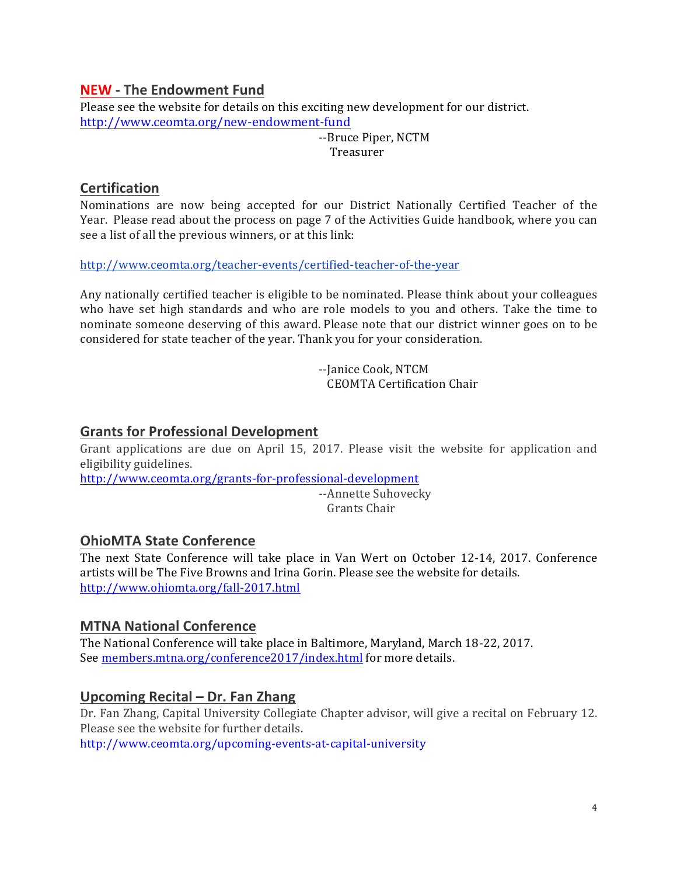# **NEW - The Endowment Fund**

Please see the website for details on this exciting new development for our district. http://www.ceomta.org/new-endowment-fund

> --Bruce Piper, NCTM Treasurer

# **Certification**

Nominations are now being accepted for our District Nationally Certified Teacher of the Year. Please read about the process on page 7 of the Activities Guide handbook, where you can see a list of all the previous winners, or at this link:

http://www.ceomta.org/teacher-events/certified-teacher-of-the-year

Any nationally certified teacher is eligible to be nominated. Please think about your colleagues who have set high standards and who are role models to you and others. Take the time to nominate someone deserving of this award. Please note that our district winner goes on to be considered for state teacher of the year. Thank you for your consideration.

> --Janice Cook, NTCM CEOMTA Certification Chair

# **Grants for Professional Development**

Grant applications are due on April 15, 2017. Please visit the website for application and eligibility guidelines.

http://www.ceomta.org/grants-for-professional-development --Annette Suhovecky Grants Chair

# **OhioMTA State Conference**

The next State Conference will take place in Van Wert on October 12-14, 2017. Conference artists will be The Five Browns and Irina Gorin. Please see the website for details. http://www.ohiomta.org/fall-2017.html

### **MTNA National Conference**

The National Conference will take place in Baltimore, Maryland, March 18-22, 2017. See members.mtna.org/conference2017/index.html for more details.

### **Upcoming Recital – Dr. Fan Zhang**

Dr. Fan Zhang, Capital University Collegiate Chapter advisor, will give a recital on February 12. Please see the website for further details.

http://www.ceomta.org/upcoming-events-at-capital-university